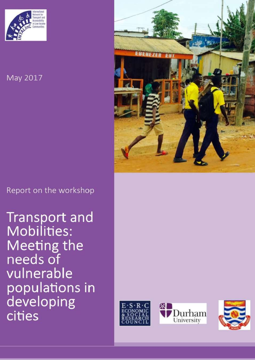

# May 2017

Report on the workshop

**Transport and Mobilities: Meeting the** needs of vulnerable populations in developing cities







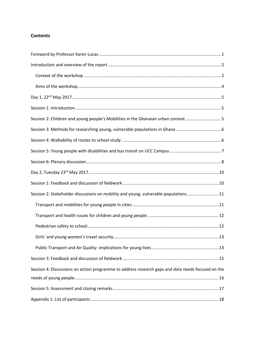# **Contents**

| Session 2: Children and young people's Mobilities in the Ghanaian urban context 5                 |  |
|---------------------------------------------------------------------------------------------------|--|
|                                                                                                   |  |
|                                                                                                   |  |
|                                                                                                   |  |
|                                                                                                   |  |
|                                                                                                   |  |
|                                                                                                   |  |
| Session 2: Stakeholder discussions on mobility and young, vulnerable populations11                |  |
|                                                                                                   |  |
|                                                                                                   |  |
|                                                                                                   |  |
|                                                                                                   |  |
|                                                                                                   |  |
|                                                                                                   |  |
| Session 4: Discussions on action programme to address research gaps and data needs focused on the |  |
|                                                                                                   |  |
|                                                                                                   |  |
|                                                                                                   |  |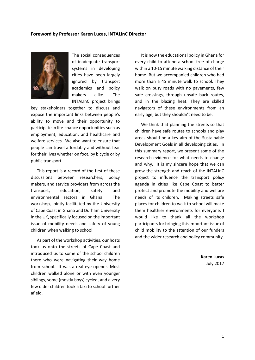#### <span id="page-2-0"></span>**Foreword by Professor Karen Lucas, INTALInC Director**



The social consequences of inadequate transport systems in developing cities have been largely ignored by transport academics and policy makers alike. The INTALInC project brings

key stakeholders together to discuss and expose the important links between people's ability to move and their opportunity to participate in life-chance opportunities such as employment, education, and healthcare and welfare services. We also want to ensure that people can travel affordably and without fear for their lives whether on foot, by bicycle or by public transport.

This report is a record of the first of these discussions between researchers, policy makers, and service providers from across the transport, education, safety and environmental sectors in Ghana. The workshop, jointly facilitated by the University of Cape Coast in Ghana and Durham University in the UK, specifically focused on the important issue of mobility needs and safety of young children when walking to school.

As part of the workshop activities, our hosts took us onto the streets of Cape Coast and introduced us to some of the school children there who were navigating their way home from school. It was a real eye opener. Most children walked alone or with even younger siblings, some (mostly boys) cycled, and a very few older children took a taxi to school further afield.

It is now the educational policy in Ghana for every child to attend a school free of charge within a 10-15 minute walking distance of their home. But we accompanied children who had more than a 45 minute walk to school. They walk on busy roads with no pavements, few safe crossings, through unsafe back routes, and in the blazing heat. They are skilled navigators of these environments from an early age, but they shouldn't need to be.

We think that planning the streets so that children have safe routes to schools and play areas should be a key aim of the Sustainable Development Goals in all developing cities. In this summary report, we present some of the research evidence for what needs to change and why. It is my sincere hope that we can grow the strength and reach of the INTALInC project to influence the transport policy agenda in cities like Cape Coast to better protect and promote the mobility and welfare needs of its children. Making streets safe places for children to walk to school will make them healthier environments for everyone. I would like to thank all the workshop participants for bringing this important issue of child mobility to the attention of our funders and the wider research and policy community.

> **Karen Lucas** July 2017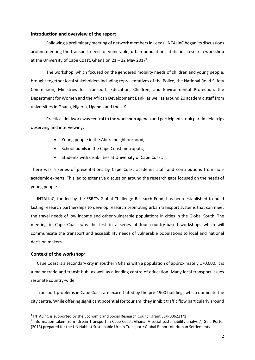#### <span id="page-3-0"></span>**Introduction and overview of the report**

Following a preliminary meeting of network members in Leeds, INTALInC began its discussions around meeting the transport needs of vulnerable, urban populations at its first research workshop at the University of Cape Coast, Ghana on  $21 - 22$  May 2017<sup>1</sup>.

The workshop, which focused on the gendered mobility needs of children and young people, brought together local stakeholders including representatives of the Police, the National Road Safety Commission, Ministries for Transport, Education, Children, and Environmental Protection, the Department for Women and the African Development Bank, as well as around 20 academic staff from universities in Ghana, Nigeria, Uganda and the UK.

Practical fieldwork was central to the workshop agenda and participants took part in field trips observing and interviewing:

- Young people in the Abura neighbourhood;
- School pupils in the Cape Coast metropolis:
- Students with disabilities at University of Cape Coast.

There was a series of presentations by Cape Coast academic staff and contributions from nonacademic experts. This led to extensive discussion around the research gaps focused on the needs of young people.

INTALInC, funded by the ESRC's Global Challenge Research Fund, has been established to build lasting research partnerships to develop research promoting urban transport systems that can meet the travel needs of low income and other vulnerable populations in cities in the Global South. The meeting in Cape Coast was the first in a series of four country-based workshops which will communicate the transport and accessibility needs of vulnerable populations to local and national decision makers.

#### <span id="page-3-1"></span>**Context of the workshop<sup>2</sup>**

 $\overline{a}$ 

Cape Coast is a secondary city in southern Ghana with a population of approximately 170,000. It is a major trade and transit hub, as well as a leading centre of education. Many local transport issues resonate country-wide.

Transport problems in Cape Coast are exacerbated by the pre-1900 buildings which dominate the city centre. While offering significant potential for tourism, they inhibit traffic flow particularly around

<sup>&</sup>lt;sup>1</sup> INTALInC is supported by the Economic and Social Research Council grant ES/P006221/1

<sup>2</sup> Information taken from 'Urban Transport in Cape Coast, Ghana: A social sustainability analysis', Gina Porter (2013) prepared for the UN Habitat Sustainable Urban Transport: Global Report on Human Settlements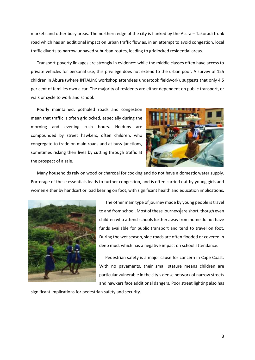markets and other busy areas. The northern edge of the city is flanked by the Accra – Takoradi trunk road which has an additional impact on urban traffic flow as, in an attempt to avoid congestion, local traffic diverts to narrow unpaved suburban routes, leading to gridlocked residential areas.

Transport-poverty linkages are strongly in evidence: while the middle classes often have access to private vehicles for personal use, this privilege does not extend to the urban poor. A survey of 125 children in Abura (where INTALInC workshop attendees undertook fieldwork), suggests that only 4.5 per cent of families own a car. The majority of residents are either dependent on public transport, or walk or cycle to work and school.

Poorly maintained, potholed roads and congestion mean that traffic is often gridlocked, especially during the morning and evening rush hours. Holdups are compounded by street hawkers, often children, who congregate to trade on main roads and at busy junctions, sometimes risking their lives by cutting through traffic at the prospect of a sale.



Many households rely on wood or charcoal for cooking and do not have a domestic water supply. Porterage of these essentials leads to further congestion, and is often carried out by young girls and women either by handcart or load bearing on foot, with significant health and education implications.



The other main type of journey made by young people is travel to and from school. Most of these journeys are short, though even children who attend schools further away from home do not have funds available for public transport and tend to travel on foot. During the wet season, side roads are often flooded or covered in deep mud, which has a negative impact on school attendance.

Pedestrian safety is a major cause for concern in Cape Coast. With no pavements, their small stature means children are particular vulnerable in the city's dense network of narrow streets and hawkers face additional dangers. Poor street lighting also has

significant implications for pedestrian safety and security.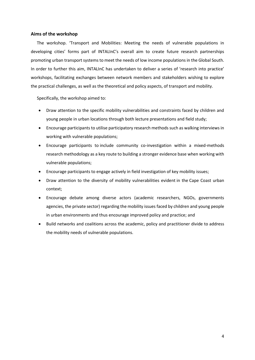#### <span id="page-5-0"></span>**Aims of the workshop**

The workshop. 'Transport and Mobilities: Meeting the needs of vulnerable populations in developing cities' forms part of INTALInC's overall aim to create future research partnerships promoting urban transport systems to meet the needs of low income populations in the Global South. In order to further this aim, INTALInC has undertaken to deliver a series of 'research into practice' workshops, facilitating exchanges between network members and stakeholders wishing to explore the practical challenges, as well as the theoretical and policy aspects, of transport and mobility.

Specifically, the workshop aimed to:

- Draw attention to the specific mobility vulnerabilities and constraints faced by children and young people in urban locations through both lecture presentations and field study;
- Encourage participants to utilise participatory research methods such as walking interviews in working with vulnerable populations;
- Encourage participants to include community co-investigation within a mixed-methods research methodology as a key route to building a stronger evidence base when working with vulnerable populations;
- Encourage participants to engage actively in field investigation of key mobility issues;
- Draw attention to the diversity of mobility vulnerabilities evident in the Cape Coast urban context;
- Encourage debate among diverse actors (academic researchers, NGOs, governments agencies, the private sector) regarding the mobility issues faced by children and young people in urban environments and thus encourage improved policy and practice; and
- Build networks and coalitions across the academic, policy and practitioner divide to address the mobility needs of vulnerable populations.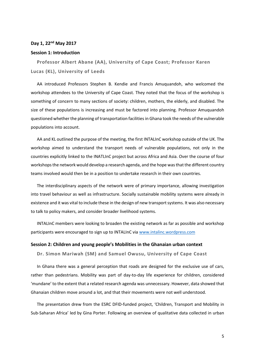## <span id="page-6-0"></span>**Day 1, 22nd May 2017**

#### <span id="page-6-1"></span>**Session 1: Introduction**

**Professor Albert Abane (AA), University of Cape Coast; Professor Karen Lucas (KL), University of Leeds** 

AA introduced Professors Stephen B. Kendie and Francis Amuquandoh, who welcomed the workshop attendees to the University of Cape Coast. They noted that the focus of the workshop is something of concern to many sections of society: children, mothers, the elderly, and disabled. The size of these populations is increasing and must be factored into planning. Professor Amuquandoh questioned whether the planning of transportation facilities in Ghana took the needs of the vulnerable populations into account.

AA and KL outlined the purpose of the meeting, the first INTALInC workshop outside of the UK. The workshop aimed to understand the transport needs of vulnerable populations, not only in the countries explicitly linked to the INATLInC project but across Africa and Asia. Over the course of four workshops the network would develop a research agenda, and the hope was that the different country teams involved would then be in a position to undertake research in their own countries.

The interdisciplinary aspects of the network were of primary importance, allowing investigation into travel behaviour as well as infrastructure. Socially sustainable mobility systems were already in existence and it was vital to include these in the design of new transport systems. It was also necessary to talk to policy makers, and consider broader livelihood systems.

INTALInC members were looking to broaden the existing network as far as possible and workshop participants were encouraged to sign up to INTALInC via [www.intalinc.wordpress.com](http://www.intalinc.wordpress.com/)

#### <span id="page-6-2"></span>**Session 2: Children and young people's Mobilities in the Ghanaian urban context**

**Dr. Simon Mariwah (SM) and Samuel Owusu, University of Cape Coast** 

In Ghana there was a general perception that roads are designed for the exclusive use of cars, rather than pedestrians. Mobility was part of day-to-day life experience for children, considered 'mundane' to the extent that a related research agenda was unnecessary. However, data showed that Ghanaian children move around a lot, and that their movements were not well understood.

The presentation drew from the ESRC DFID-funded project, 'Children, Transport and Mobility in Sub-Saharan Africa' led by Gina Porter. Following an overview of qualitative data collected in urban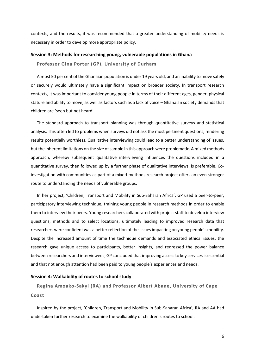contexts, and the results, it was recommended that a greater understanding of mobility needs is necessary in order to develop more appropriate policy.

#### <span id="page-7-0"></span>**Session 3: Methods for researching young, vulnerable populations in Ghana**

**Professor Gina Porter (GP), University of Durham** 

Almost 50 per cent of the Ghanaian population is under 19 years old, and an inability to move safely or securely would ultimately have a significant impact on broader society. In transport research contexts, it was important to consider young people in terms of their different ages, gender, physical stature and ability to move, as well as factors such as a lack of voice – Ghanaian society demands that children are 'seen but not heard'.

The standard approach to transport planning was through quantitative surveys and statistical analysis. This often led to problems when surveys did not ask the most pertinent questions, rendering results potentially worthless. Qualitative interviewing could lead to a better understanding of issues, but the inherent limitations on the size of sample in this approach were problematic. A mixed methods approach, whereby subsequent qualitative interviewing influences the questions included in a quantitative survey, then followed up by a further phase of qualitative interviews, is preferable. Coinvestigation with communities as part of a mixed-methods research project offers an even stronger route to understanding the needs of vulnerable groups.

In her project, 'Children, Transport and Mobility in Sub-Saharan Africa', GP used a peer-to-peer, participatory interviewing technique, training young people in research methods in order to enable them to interview their peers. Young researchers collaborated with project staff to develop interview questions, methods and to select locations, ultimately leading to improved research data that researchers were confident was a better reflection of the issues impacting on young people's mobility. Despite the increased amount of time the technique demands and associated ethical issues, the research gave unique access to participants, better insights, and redressed the power balance between researchers and interviewees, GP concluded that improving access to key services is essential and that not enough attention had been paid to young people's experiences and needs.

#### <span id="page-7-1"></span>**Session 4: Walkability of routes to school study**

**Regina Amoako-Sakyi (RA) and Professor Albert Abane, University of Cape Coast** 

Inspired by the project, 'Children, Transport and Mobility in Sub-Saharan Africa', RA and AA had undertaken further research to examine the walkability of children's routes to school.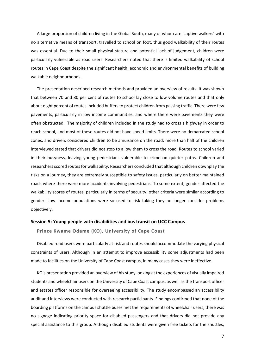A large proportion of children living in the Global South, many of whom are 'captive walkers' with no alternative means of transport, travelled to school on foot, thus good walkability of their routes was essential. Due to their small physical stature and potential lack of judgement, children were particularly vulnerable as road users. Researchers noted that there is limited walkability of school routes in Cape Coast despite the significant health, economic and environmental benefits of building walkable neighbourhoods.

The presentation described research methods and provided an overview of results. It was shown that between 70 and 80 per cent of routes to school lay close to low volume routes and that only about eight percent of routes included buffers to protect children from passing traffic. There were few pavements, particularly in low income communities, and where there were pavements they were often obstructed. The majority of children included in the study had to cross a highway in order to reach school, and most of these routes did not have speed limits. There were no demarcated school zones, and drivers considered children to be a nuisance on the road: more than half of the children interviewed stated that drivers did not stop to allow them to cross the road. Routes to school varied in their busyness, leaving young pedestrians vulnerable to crime on quieter paths. Children and researchers scored routes for walkability. Researchers concluded that although children downplay the risks on a journey, they are extremely susceptible to safety issues, particularly on better maintained roads where there were more accidents involving pedestrians. To some extent, gender affected the walkability scores of routes, particularly in terms of security; other criteria were similar according to gender. Low income populations were so used to risk taking they no longer consider problems objectively.

#### <span id="page-8-0"></span>**Session 5: Young people with disabilities and bus transit on UCC Campus**

**Prince Kwame Odame (KO), University of Cape Coast** 

Disabled road users were particularly at risk and routes should accommodate the varying physical constraints of users. Although in an attempt to improve accessibility some adjustments had been made to facilities on the University of Cape Coast campus, in many cases they were ineffective.

KO's presentation provided an overview of his study looking at the experiences of visually impaired students and wheelchair users on the University of Cape Coast campus, as well as the transport officer and estates officer responsible for overseeing accessibility. The study encompassed an accessibility audit and interviews were conducted with research participants. Findings confirmed that none of the boarding platforms on the campus shuttle buses met the requirements of wheelchair users, there was no signage indicating priority space for disabled passengers and that drivers did not provide any special assistance to this group. Although disabled students were given free tickets for the shuttles,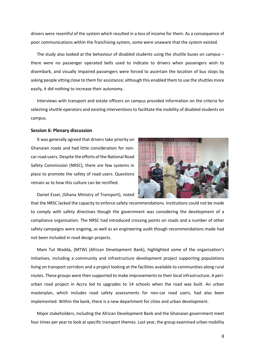drivers were resentful of the system which resulted in a loss of income for them. As a consequence of poor communications within the franchising system, some were unaware that the system existed.

The study also looked at the behaviour of disabled students using the shuttle buses on campus – there were no passenger operated bells used to indicate to drivers when passengers wish to disembark, and visually impaired passengers were forced to ascertain the location of bus stops by asking people sitting close to them for assistance; although this enabled them to use the shuttles more easily, it did nothing to increase their autonomy.

Interviews with transport and estate officers on campus provided information on the criteria for selecting shuttle operators and existing interventions to facilitate the mobility of disabled students on campus.

#### <span id="page-9-0"></span>**Session 6: Plenary discussion**

It was generally agreed that drivers take priority on Ghanaian roads and had little consideration for noncar road users. Despite the efforts of the National Road Safety Commission (NRSC), there are few systems in place to promote the safety of road users. Questions remain as to how this culture can be rectified.



Daniel Essel, (Ghana Ministry of Transport), noted

that the NRSC lacked the capacity to enforce safety recommendations. Institutions could not be made to comply with safety directives though the government was considering the development of a compliance organisation. The NRSC had introduced crossing points on roads and a number of other safety campaigns were ongoing, as well as an engineering audit though recommendations made had not been included in road design projects.

Mam Tut Wadda, (MTW) (African Development Bank), highlighted some of the organisation's initiatives, including a community and infrastructure development project supporting populations living on transport corridors and a project looking at the facilities available to communities along rural routes. These groups were then supported to make improvements to their local infrastructure. A periurban road project in Accra led to upgrades to 14 schools when the road was built. An urban masterplan, which includes road safety assessments for non-car road users, had also been implemented. Within the bank, there is a new department for cities and urban development.

Major stakeholders, including the African Development Bank and the Ghanaian government meet four times per year to look at specific transport themes. Last year, the group examined urban mobility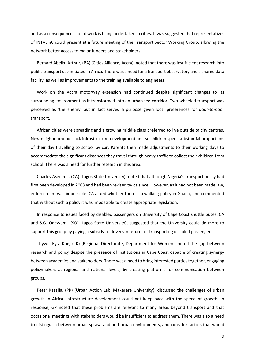and as a consequence a lot of work is being undertaken in cities. It was suggested that representatives of INTALInC could present at a future meeting of the Transport Sector Working Group, allowing the network better access to major funders and stakeholders.

Bernard Abeiku Arthur, (BA) (Cities Alliance, Accra), noted that there was insufficient research into public transport use initiated in Africa. There was a need for a transport observatory and a shared data facility, as well as improvements to the training available to engineers.

Work on the Accra motorway extension had continued despite significant changes to its surrounding environment as it transformed into an urbanised corridor. Two-wheeled transport was perceived as 'the enemy' but in fact served a purpose given local preferences for door-to-door transport.

African cities were spreading and a growing middle class preferred to live outside of city centres. New neighbourhoods lack infrastructure development and so children spent substantial proportions of their day travelling to school by car. Parents then made adjustments to their working days to accommodate the significant distances they travel through heavy traffic to collect their children from school. There was a need for further research in this area.

Charles Asenime, (CA) (Lagos State University), noted that although Nigeria's transport policy had first been developed in 2003 and had been revised twice since. However, as it had not been made law, enforcement was impossible. CA asked whether there is a walking policy in Ghana, and commented that without such a policy it was impossible to create appropriate legislation.

In response to issues faced by disabled passengers on University of Cape Coast shuttle buses, CA and S.G. Odewumi, (SO) (Lagos State University), suggested that the University could do more to support this group by paying a subsidy to drivers in return for transporting disabled passengers.

Thywill Eyra Kpe, (TK) (Regional Directorate, Department for Women), noted the gap between research and policy despite the presence of institutions in Cape Coast capable of creating synergy between academics and stakeholders. There was a need to bring interested parties together, engaging policymakers at regional and national levels, by creating platforms for communication between groups.

Peter Kasajia, (PK) (Urban Action Lab, Makerere University), discussed the challenges of urban growth in Africa. Infrastructure development could not keep pace with the speed of growth. In response, GP noted that these problems are relevant to many areas beyond transport and that occasional meetings with stakeholders would be insufficient to address them. There was also a need to distinguish between urban sprawl and peri-urban environments, and consider factors that would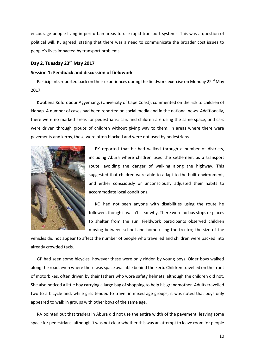encourage people living in peri-urban areas to use rapid transport systems. This was a question of political will. KL agreed, stating that there was a need to communicate the broader cost issues to people's lives impacted by transport problems.

# <span id="page-11-0"></span>**Day 2, Tuesday 23rd May 2017**

#### <span id="page-11-1"></span>**Session 1: Feedback and discussion of fieldwork**

Participants reported back on their experiences during the fieldwork exercise on Monday 22<sup>nd</sup> May 2017.

Kwabena Koforobour Agyemang, (University of Cape Coast), commented on the risk to children of kidnap. A number of cases had been reported on social media and in the national news. Additionally, there were no marked areas for pedestrians; cars and children are using the same space, and cars were driven through groups of children without giving way to them. In areas where there were pavements and kerbs, these were often blocked and were not used by pedestrians.



PK reported that he had walked through a number of districts, including Abura where children used the settlement as a transport route, avoiding the danger of walking along the highway. This suggested that children were able to adapt to the built environment, and either consciously or unconsciously adjusted their habits to accommodate local conditions.

KO had not seen anyone with disabilities using the route he followed, though it wasn't clear why. There were no bus stops or places to shelter from the sun. Fieldwork participants observed children moving between school and home using the tro tro; the size of the

vehicles did not appear to affect the number of people who travelled and children were packed into already crowded taxis.

GP had seen some bicycles, however these were only ridden by young boys. Older boys walked along the road, even where there was space available behind the kerb. Children travelled on the front of motorbikes, often driven by their fathers who wore safety helmets, although the children did not. She also noticed a little boy carrying a large bag of shopping to help his grandmother. Adults travelled two to a bicycle and, while girls tended to travel in mixed age groups, it was noted that boys only appeared to walk in groups with other boys of the same age.

RA pointed out that traders in Abura did not use the entire width of the pavement, leaving some space for pedestrians, although it was not clear whether this was an attempt to leave room for people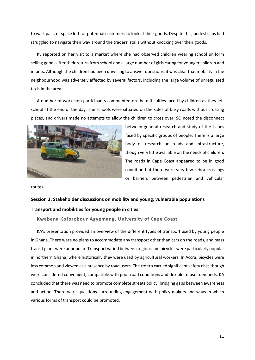to walk past, or space left for potential customers to look at their goods. Despite this, pedestrians had struggled to navigate their way around the traders' stalls without knocking over their goods.

KL reported on her visit to a market where she had observed children wearing school uniform selling goods after their return from school and a large number of girls caring for younger children and infants. Although the children had been unwilling to answer questions, it was clear that mobility in the neighbourhood was adversely affected by several factors, including the large volume of unregulated taxis in the area.

A number of workshop participants commented on the difficulties faced by children as they left school at the end of the day. The schools were situated on the sides of busy roads without crossing places, and drivers made no attempts to allow the children to cross over. SO noted the disconnect



between general research and study of the issues faced by specific groups of people. There is a large body of research on roads and infrastructure, though very little available on the needs of children. The roads in Cape Coast appeared to be in good condition but there were very few zebra crossings or barriers between pedestrian and vehicular

routes.

# <span id="page-12-1"></span><span id="page-12-0"></span>**Session 2: Stakeholder discussions on mobility and young, vulnerable populations Transport and mobilities for young people in cities**

#### **Kwabena Koforobour Agyemang, University of Cape Coast**

KA's presentation provided an overview of the different types of transport used by young people in Ghana. There were no plans to accommodate any transport other than cars on the roads, and mass transit plans were unpopular. Transport varied between regions and bicycles were particularly popular in northern Ghana, where historically they were used by agricultural workers. In Accra, bicycles were less common and viewed as a nuisance by road users. The tro tro carried significant safety risks though were considered convenient, compatible with poor road conditions and flexible to user demands. KA concluded that there was need to promote complete streets policy, bridging gaps between awareness and action. There were questions surrounding engagement with policy makers and ways in which various forms of transport could be promoted.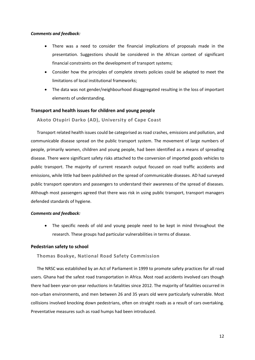#### *Comments and feedback:*

- There was a need to consider the financial implications of proposals made in the presentation. Suggestions should be considered in the African context of significant financial constraints on the development of transport systems;
- Consider how the principles of complete streets policies could be adapted to meet the limitations of local institutional frameworks;
- The data was not gender/neighbourhood disaggregated resulting in the loss of important elements of understanding.

### <span id="page-13-0"></span>**Transport and health issues for children and young people**

**Akoto Otupiri Darko (AD), University of Cape Coast**

Transport related health issues could be categorised as road crashes, emissions and pollution, and communicable disease spread on the public transport system. The movement of large numbers of people, primarily women, children and young people, had been identified as a means of spreading disease. There were significant safety risks attached to the conversion of imported goods vehicles to public transport. The majority of current research output focused on road traffic accidents and emissions, while little had been published on the spread of communicable diseases. AD had surveyed public transport operators and passengers to understand their awareness of the spread of diseases. Although most passengers agreed that there was risk in using public transport, transport managers defended standards of hygiene.

#### *Comments and feedback:*

 The specific needs of old and young people need to be kept in mind throughout the research. These groups had particular vulnerabilities in terms of disease.

### <span id="page-13-1"></span>**Pedestrian safety to school**

# **Thomas Boakye, National Road Safety Commission**

The NRSC was established by an Act of Parliament in 1999 to promote safety practices for all road users. Ghana had the safest road transportation in Africa. Most road accidents involved cars though there had been year-on-year reductions in fatalities since 2012. The majority of fatalities occurred in non-urban environments, and men between 26 and 35 years old were particularly vulnerable. Most collisions involved knocking down pedestrians, often on straight roads as a result of cars overtaking. Preventative measures such as road humps had been introduced.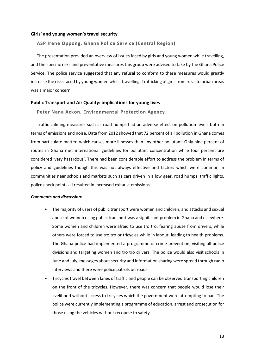#### <span id="page-14-0"></span>**Girls' and young women's travel security**

#### **ASP Irene Oppong, Ghana Police Service (Central Region)**

The presentation provided an overview of issues faced by girls and young women while travelling, and the specific risks and preventative measures this group were advised to take by the Ghana Police Service. The police service suggested that any refusal to conform to these measures would greatly increase the risks faced by young women whilst travelling. Trafficking of girls from rural to urban areas was a major concern.

#### <span id="page-14-1"></span>**Public Transport and Air Quality: implications for young lives**

**Peter Nana Ackon, Environmental Protection Agency**

Traffic calming measures such as road humps had an adverse effect on pollution levels both in terms of emissions and noise. Data from 2012 showed that 72 percent of all pollution in Ghana comes from particulate matter, which causes more illnesses than any other pollutant. Only nine percent of routes in Ghana met international guidelines for pollutant concentration while four percent are considered 'very hazardous'. There had been considerable effort to address the problem in terms of policy and guidelines though this was not always effective and factors which were common in communities near schools and markets such as cars driven in a low gear, road humps, traffic lights, police check points all resulted in increased exhaust emissions.

#### *Comments and discussion:*

- The majority of users of public transport were women and children, and attacks and sexual abuse of women using public transport was a significant problem in Ghana and elsewhere. Some women and children were afraid to use tro tro, fearing abuse from drivers, while others were forced to use tro tro or tricycles while in labour, leading to health problems. The Ghana police had implemented a programme of crime prevention, visiting all police divisions and targeting women and tro tro drivers. The police would also visit schools in June and July, messages about security and information sharing were spread through radio interviews and there were police patrols on roads.
- Tricycles travel between lanes of traffic and people can be observed transporting children on the front of the tricycles. However, there was concern that people would lose their livelihood without access to tricycles which the government were attempting to ban. The police were currently implementing a programme of education, arrest and prosecution for those using the vehicles without recourse to safety.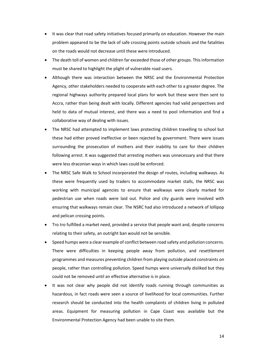- It was clear that road safety initiatives focused primarily on education. However the main problem appeared to be the lack of safe crossing points outside schools and the fatalities on the roads would not decrease until these were introduced.
- The death toll of women and children far exceeded those of other groups. This information must be shared to highlight the plight of vulnerable road users.
- Although there was interaction between the NRSC and the Environmental Protection Agency, other stakeholders needed to cooperate with each other to a greater degree. The regional highways authority prepared local plans for work but these were then sent to Accra, rather than being dealt with locally. Different agencies had valid perspectives and held to data of mutual interest, and there was a need to pool information and find a collaborative way of dealing with issues.
- The NRSC had attempted to implement laws protecting children travelling to school but these had either proved ineffective or been rejected by government. There were issues surrounding the prosecution of mothers and their inability to care for their children following arrest. It was suggested that arresting mothers was unnecessary and that there were less draconian ways in which laws could be enforced.
- The NRSC Safe Walk to School incorporated the design of routes, including walkways. As these were frequently used by traders to accommodate market stalls, the NRSC was working with municipal agencies to ensure that walkways were clearly marked for pedestrian use when roads were laid out. Police and city guards were involved with ensuring that walkways remain clear. The NSRC had also introduced a network of lollipop and pelican crossing points.
- Tro tro fulfilled a market need, provided a service that people want and, despite concerns relating to their safety, an outright ban would not be sensible.
- Speed humps were a clear example of conflict between road safety and pollution concerns. There were difficulties in keeping people away from pollution, and resettlement programmes and measures preventing children from playing outside placed constraints on people, rather than controlling pollution. Speed humps were universally disliked but they could not be removed until an effective alternative is in place.
- It was not clear why people did not identify roads running through communities as hazardous, in fact roads were seen a source of livelihood for local communities. Further research should be conducted into the health complaints of children living in polluted areas. Equipment for measuring pollution in Cape Coast was available but the Environmental Protection Agency had been unable to site them.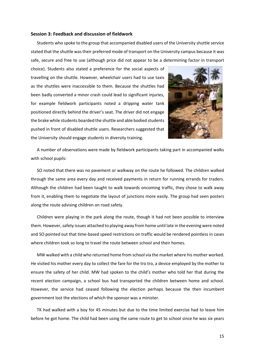#### <span id="page-16-0"></span>**Session 3: Feedback and discussion of fieldwork**

Students who spoke to the group that accompanied disabled users of the University shuttle service stated that the shuttle was their preferred mode of transport on the University campus because it was safe, secure and free to use (although price did not appear to be a determining factor in transport

choice). Students also stated a preference for the social aspects of travelling on the shuttle. However, wheelchair users had to use taxis as the shuttles were inaccessible to them. Because the shuttles had been badly converted a minor crash could lead to significant injuries, for example fieldwork participants noted a dripping water tank positioned directly behind the driver's seat. The driver did not engage the brake while students boarded the shuttle and able bodied students pushed in front of disabled shuttle users. Researchers suggested that the University should engage students in diversity training.



A number of observations were made by fieldwork participants taking part in accompanied walks with school pupils:

SO noted that there was no pavement or walkway on the route he followed. The children walked through the same area every day and received payments in return for running errands for traders. Although the children had been taught to walk towards oncoming traffic, they chose to walk away from it, enabling them to negotiate the layout of junctions more easily. The group had seen posters along the route advising children on road safety.

Children were playing in the park along the route, though it had not been possible to interview them. However, safety issues attached to playing away from home until late in the evening were noted and SO pointed out that time-based speed restrictions on traffic would be rendered pointless in cases where children took so long to travel the route between school and their homes.

MW walked with a child who returned home from school via the market where his mother worked. He visited his mother every day to collect the fare for the tro tro, a device employed by the mother to ensure the safety of her child. MW had spoken to the child's mother who told her that during the recent election campaign, a school bus had transported the children between home and school. However, the service had ceased following the election perhaps because the then incumbent government lost the elections of which the sponsor was a minister.

TK had walked with a boy for 45 minutes but due to the time limited exercise had to leave him before he got home. The child had been using the same route to get to school since he was six years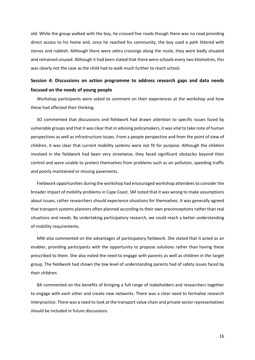old. While the group walked with the boy, he crossed five roads though there was no road providing direct access to his home and, once he reached his community, the boy used a path littered with stones and rubbish. Although there were zebra crossings along the route, they were badly situated and remained unused. Although it had been stated that there were schools every two kilometres, this was clearly not the case as the child had to walk much further to reach school.

# <span id="page-17-0"></span>**Session 4: Discussions on action programme to address research gaps and data needs focused on the needs of young people**

Workshop participants were asked to comment on their experiences at the workshop and how these had affected their thinking.

SO commented that discussions and fieldwork had drawn attention to specific issues faced by vulnerable groups and that it was clear that in advising policymakers, it was vital to take note of human perspectives as well as infrastructure issues. From a people perspective and from the point of view of children, it was clear that current mobility systems were not fit for purpose. Although the children involved in the fieldwork had been very streetwise, they faced significant obstacles beyond their control and were unable to protect themselves from problems such as air pollution, speeding traffic and poorly maintained or missing pavements.

Fieldwork opportunities during the workshop had encouraged workshop attendees to consider the broader impact of mobility problems in Cape Coast. SM noted that it was wrong to make assumptions about issues, rather researchers should experience situations for themselves. It was generally agreed that transport systems planners often planned according to their own preconceptions rather than real situations and needs. By undertaking participatory research, we could reach a better understanding of mobility requirements.

MW also commented on the advantages of participatory fieldwork. She stated that it acted as an enabler, providing participants with the opportunity to propose solutions rather than having these prescribed to them. She also noted the need to engage with parents as well as children in the target group. The fieldwork had shown the low level of understanding parents had of safety issues faced by their children.

BA commented on the benefits of bringing a full range of stakeholders and researchers together to engage with each other and create new networks. There was a clear need to formalise research interpractice. There was a need to look at the transport value chain and private sector representatives should be included in future discussions.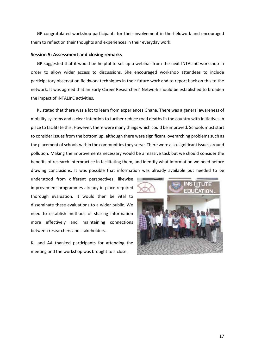GP congratulated workshop participants for their involvement in the fieldwork and encouraged them to reflect on their thoughts and experiences in their everyday work.

#### <span id="page-18-0"></span>**Session 5: Assessment and closing remarks**

GP suggested that it would be helpful to set up a webinar from the next INTALInC workshop in order to allow wider access to discussions. She encouraged workshop attendees to include participatory observation fieldwork techniques in their future work and to report back on this to the network. It was agreed that an Early Career Researchers' Network should be established to broaden the impact of INTALInC activities.

KL stated that there was a lot to learn from experiences Ghana. There was a general awareness of mobility systems and a clear intention to further reduce road deaths in the country with initiatives in place to facilitate this. However, there were many things which could be improved. Schools must start to consider issues from the bottom up, although there were significant, overarching problems such as the placement of schools within the communities they serve. There were also significant issues around pollution. Making the improvements necessary would be a massive task but we should consider the benefits of research interpractice in facilitating them, and identify what information we need before drawing conclusions. It was possible that information was already available but needed to be

understood from different perspectives; likewise improvement programmes already in place required thorough evaluation. It would then be vital to disseminate these evaluations to a wider public. We need to establish methods of sharing information more effectively and maintaining connections between researchers and stakeholders.

KL and AA thanked participants for attending the meeting and the workshop was brought to a close.